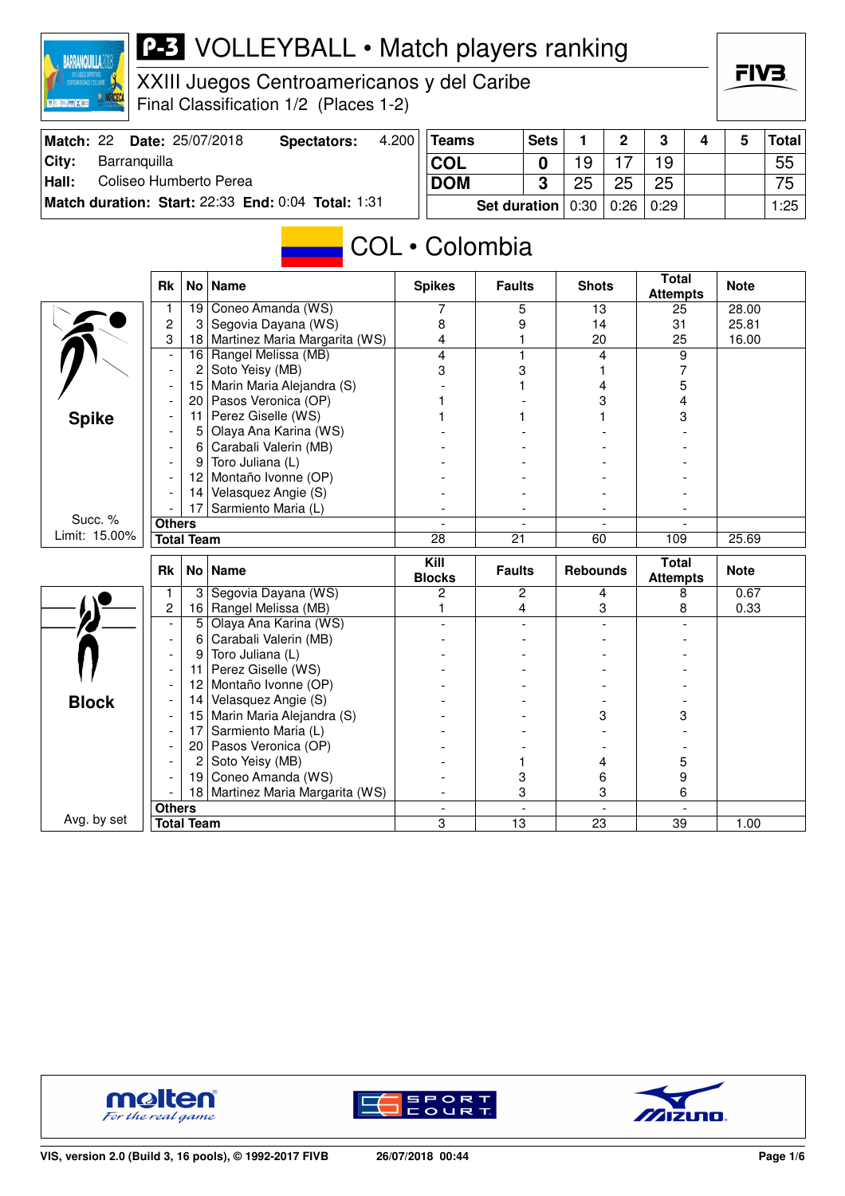

XXIII Juegos Centroamericanos y del Caribe Final Classification 1/2 (Places 1-2)

| Match: 22 | <b>Date: 25/07/2018</b>                            | Spectators: | 4.200 | Teams                             | <b>Sets</b> |    | $\overline{2}$ | $\mathbf{3}$ | 4 | Total |
|-----------|----------------------------------------------------|-------------|-------|-----------------------------------|-------------|----|----------------|--------------|---|-------|
| City:     | Barranquilla                                       |             |       | <b>COL</b>                        |             | 19 |                | 19           |   | 55    |
| Hall:     | Coliseo Humberto Perea                             |             |       | <b>DOM</b>                        |             | 25 | 25             | 25           |   | 75    |
|           | Match duration: Start: 22:33 End: 0:04 Total: 1:31 |             |       | Set duration   0:30   0:26   0:29 |             |    |                |              |   | 1:25  |

## COL • Colombia

|               | <b>Rk</b>                |                   | No   Name                        | <b>Spikes</b>                       | <b>Faults</b> | <b>Shots</b>    | <b>Total</b><br><b>Attempts</b> | <b>Note</b> |
|---------------|--------------------------|-------------------|----------------------------------|-------------------------------------|---------------|-----------------|---------------------------------|-------------|
|               | 1                        | 19                | Coneo Amanda (WS)                | 7                                   | 5             | 13              | 25                              | 28.00       |
|               | $\overline{c}$           | 3                 | Segovia Dayana (WS)              | 8                                   | 9             | 14              | 31                              | 25.81       |
|               | 3                        |                   | 18 Martinez Maria Margarita (WS) | 4                                   | 1             | 20              | 25                              | 16.00       |
|               |                          | 16                | Rangel Melissa (MB)              | 4                                   | 1             | 4               | 9                               |             |
|               | $\overline{\phantom{a}}$ | 2                 | Soto Yeisy (MB)                  | 3                                   | 3             |                 | 7                               |             |
|               |                          | 15                | Marin Maria Alejandra (S)        |                                     |               | 4               | 5                               |             |
|               |                          | 20                | Pasos Veronica (OP)              |                                     |               | 3               | 4                               |             |
| <b>Spike</b>  |                          | 11                | Perez Giselle (WS)               |                                     |               |                 | 3                               |             |
|               |                          | 5                 | Olaya Ana Karina (WS)            |                                     |               |                 |                                 |             |
|               |                          | 6                 | Carabali Valerin (MB)            |                                     |               |                 |                                 |             |
|               |                          | 9                 | Toro Juliana (L)                 |                                     |               |                 |                                 |             |
|               |                          | 12 <sup>2</sup>   | Montaño Ivonne (OP)              |                                     |               |                 |                                 |             |
|               |                          | 14                | Velasquez Angie (S)              |                                     |               |                 |                                 |             |
|               |                          | 17                | Sarmiento Maria (L)              |                                     |               |                 |                                 |             |
| Succ. %       | <b>Others</b>            |                   |                                  |                                     |               |                 |                                 |             |
| Limit: 15.00% |                          | <b>Total Team</b> |                                  | 28                                  | 21            | 60              | 109                             | 25.69       |
|               |                          |                   |                                  |                                     |               |                 |                                 |             |
|               |                          |                   |                                  |                                     |               |                 |                                 |             |
|               | <b>Rk</b>                |                   | No   Name                        | $\overline{K}$ ill<br><b>Blocks</b> | <b>Faults</b> | <b>Rebounds</b> | <b>Total</b><br><b>Attempts</b> | <b>Note</b> |
|               | 1                        | 3                 | Segovia Dayana (WS)              | $\overline{c}$                      | 2             | 4               | 8                               | 0.67        |
|               | 2                        |                   | 16 Rangel Melissa (MB)           | 1                                   | 4             | 3               | 8                               | 0.33        |
|               |                          | 5                 | Olaya Ana Karina (WS)            |                                     |               |                 |                                 |             |
|               |                          | 6                 | Carabali Valerin (MB)            |                                     |               |                 |                                 |             |
|               |                          | 9                 | Toro Juliana (L)                 |                                     |               |                 |                                 |             |
|               |                          | 11                | Perez Giselle (WS)               |                                     |               |                 |                                 |             |
|               |                          | 12 <sup>2</sup>   | Montaño Ivonne (OP)              |                                     |               |                 |                                 |             |
|               |                          | 14                | Velasquez Angie (S)              |                                     |               |                 |                                 |             |
| <b>Block</b>  |                          | 15                | Marin Maria Alejandra (S)        |                                     |               | 3               | 3                               |             |
|               |                          | 17                | Sarmiento Maria (L)              |                                     |               |                 |                                 |             |
|               |                          | 20 <sub>1</sub>   | Pasos Veronica (OP)              |                                     |               |                 |                                 |             |
|               |                          | 2                 | Soto Yeisy (MB)                  |                                     |               | 4               | 5                               |             |
|               |                          | 19                | Coneo Amanda (WS)                |                                     | 3             | 6               | 9                               |             |
|               |                          |                   | 18 Martinez Maria Margarita (WS) |                                     | 3             | 3               | 6                               |             |
| Avg. by set   | <b>Others</b>            |                   |                                  |                                     |               |                 |                                 |             |





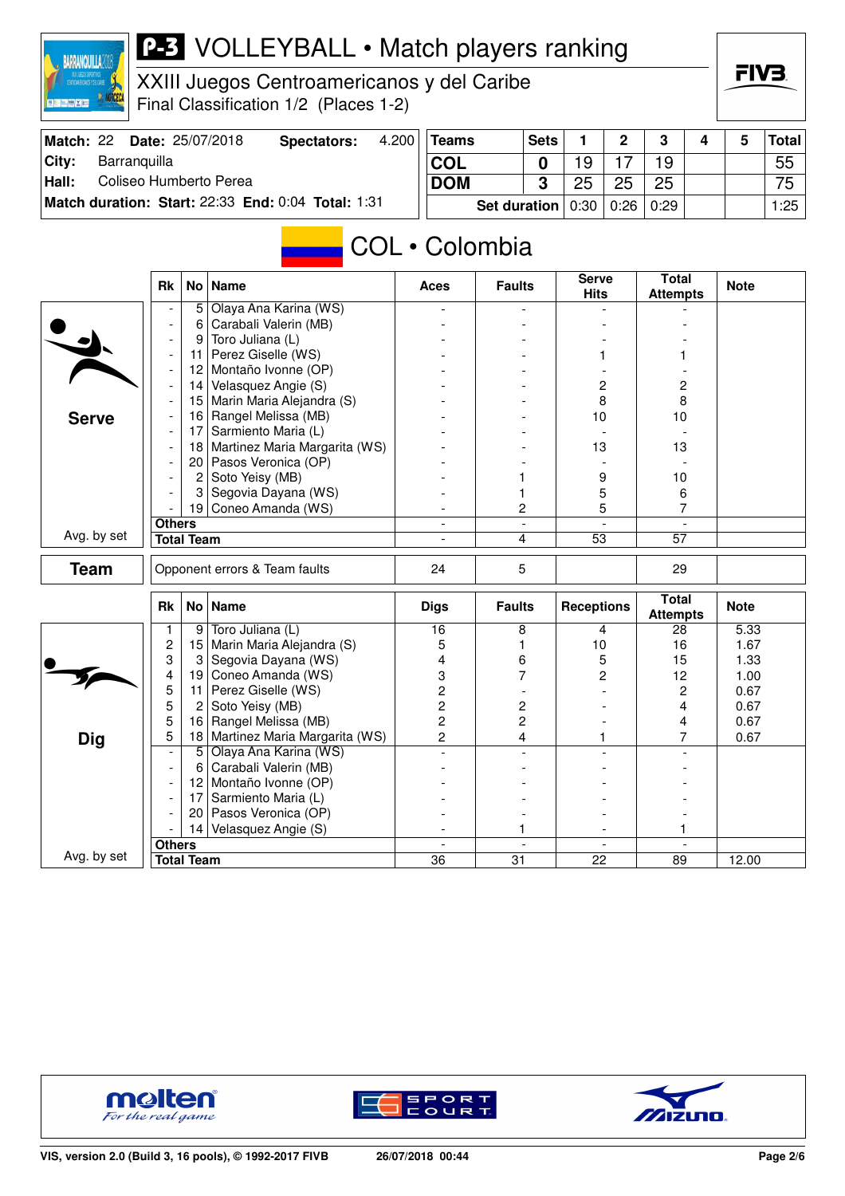

XXIII Juegos Centroamericanos y del Caribe Final Classification 1/2 (Places 1-2)

|       | Match: 22 Date: 25/07/2018                         | Spectators: | 4.200 | <b>Teams</b>                      | <b>Sets</b> |    | $\overline{2}$ | $\mathbf{r}$ | 4 | <b>Total</b>    |
|-------|----------------------------------------------------|-------------|-------|-----------------------------------|-------------|----|----------------|--------------|---|-----------------|
| City: | Barranguilla                                       |             |       | <b>COL</b>                        |             | 9  |                | 19           |   | 55              |
| Hall: | Coliseo Humberto Perea                             |             |       | <b>DOM</b>                        |             | 25 | 25             | 25           |   | 75 <sub>1</sub> |
|       | Match duration: Start: 22:33 End: 0:04 Total: 1:31 |             |       | Set duration   0:30   0:26   0:29 |             |    |                |              |   | 1:25            |

## COL • Colombia

|              | No   Name<br><b>Rk</b><br>Olaya Ana Karina (WS)<br>5<br>Carabali Valerin (MB)<br>6<br>Toro Juliana (L)<br>9<br>Perez Giselle (WS)<br>11<br>$\overline{\phantom{a}}$<br>Montaño Ivonne (OP)<br>12<br>$\overline{\phantom{a}}$<br>Velasquez Angie (S)<br>14 <br>Marin Maria Alejandra (S)<br>15<br>Rangel Melissa (MB)<br>16 <br>Sarmiento Maria (L)<br>17<br>$\overline{\phantom{a}}$<br>18<br>$\overline{\phantom{a}}$<br>Pasos Veronica (OP)<br>20 <br>$\overline{\phantom{a}}$<br>Soto Yeisy (MB)<br>$\overline{2}$<br>$\overline{\phantom{a}}$<br>3<br>Segovia Dayana (WS)<br>19 <sup>1</sup><br>Coneo Amanda (WS)<br><b>Others</b><br><b>Total Team</b><br>Opponent errors & Team faults<br><b>Name</b><br><b>Rk</b><br>No <sub>1</sub><br>9 Toro Juliana (L)<br>1<br>$\overline{c}$<br>Marin Maria Alejandra (S)<br>15<br>3<br>Segovia Dayana (WS)<br>3<br>Coneo Amanda (WS)<br>4<br>19<br>5<br>Perez Giselle (WS)<br>11 |                   | <b>Aces</b>                   | <b>Faults</b>                     | <b>Serve</b><br><b>Hits</b>                 | Total<br><b>Attempts</b> | <b>Note</b>                     |             |
|--------------|-------------------------------------------------------------------------------------------------------------------------------------------------------------------------------------------------------------------------------------------------------------------------------------------------------------------------------------------------------------------------------------------------------------------------------------------------------------------------------------------------------------------------------------------------------------------------------------------------------------------------------------------------------------------------------------------------------------------------------------------------------------------------------------------------------------------------------------------------------------------------------------------------------------------------------|-------------------|-------------------------------|-----------------------------------|---------------------------------------------|--------------------------|---------------------------------|-------------|
|              |                                                                                                                                                                                                                                                                                                                                                                                                                                                                                                                                                                                                                                                                                                                                                                                                                                                                                                                               |                   |                               |                                   |                                             |                          |                                 |             |
|              |                                                                                                                                                                                                                                                                                                                                                                                                                                                                                                                                                                                                                                                                                                                                                                                                                                                                                                                               |                   |                               |                                   |                                             |                          |                                 |             |
|              |                                                                                                                                                                                                                                                                                                                                                                                                                                                                                                                                                                                                                                                                                                                                                                                                                                                                                                                               |                   |                               |                                   |                                             |                          |                                 |             |
|              |                                                                                                                                                                                                                                                                                                                                                                                                                                                                                                                                                                                                                                                                                                                                                                                                                                                                                                                               |                   |                               |                                   |                                             |                          |                                 |             |
|              |                                                                                                                                                                                                                                                                                                                                                                                                                                                                                                                                                                                                                                                                                                                                                                                                                                                                                                                               |                   |                               |                                   |                                             |                          |                                 |             |
|              |                                                                                                                                                                                                                                                                                                                                                                                                                                                                                                                                                                                                                                                                                                                                                                                                                                                                                                                               |                   |                               |                                   |                                             | 2                        | 2                               |             |
|              |                                                                                                                                                                                                                                                                                                                                                                                                                                                                                                                                                                                                                                                                                                                                                                                                                                                                                                                               |                   |                               |                                   |                                             | 8                        | 8                               |             |
| <b>Serve</b> |                                                                                                                                                                                                                                                                                                                                                                                                                                                                                                                                                                                                                                                                                                                                                                                                                                                                                                                               |                   |                               |                                   |                                             | 10                       | 10                              |             |
|              |                                                                                                                                                                                                                                                                                                                                                                                                                                                                                                                                                                                                                                                                                                                                                                                                                                                                                                                               |                   |                               |                                   |                                             |                          |                                 |             |
|              |                                                                                                                                                                                                                                                                                                                                                                                                                                                                                                                                                                                                                                                                                                                                                                                                                                                                                                                               |                   | Martinez Maria Margarita (WS) |                                   |                                             | 13                       | 13                              |             |
|              |                                                                                                                                                                                                                                                                                                                                                                                                                                                                                                                                                                                                                                                                                                                                                                                                                                                                                                                               |                   |                               |                                   |                                             |                          |                                 |             |
|              |                                                                                                                                                                                                                                                                                                                                                                                                                                                                                                                                                                                                                                                                                                                                                                                                                                                                                                                               |                   |                               |                                   | 1                                           | 9                        | 10                              |             |
|              |                                                                                                                                                                                                                                                                                                                                                                                                                                                                                                                                                                                                                                                                                                                                                                                                                                                                                                                               |                   |                               |                                   | 1                                           | 5                        | 6                               |             |
|              |                                                                                                                                                                                                                                                                                                                                                                                                                                                                                                                                                                                                                                                                                                                                                                                                                                                                                                                               |                   |                               |                                   | 2                                           | 5                        | 7                               |             |
|              |                                                                                                                                                                                                                                                                                                                                                                                                                                                                                                                                                                                                                                                                                                                                                                                                                                                                                                                               |                   |                               |                                   | $\blacksquare$                              |                          |                                 |             |
| Avg. by set  |                                                                                                                                                                                                                                                                                                                                                                                                                                                                                                                                                                                                                                                                                                                                                                                                                                                                                                                               |                   |                               |                                   | 4                                           | $\overline{53}$          | $\overline{57}$                 |             |
| <b>Team</b>  |                                                                                                                                                                                                                                                                                                                                                                                                                                                                                                                                                                                                                                                                                                                                                                                                                                                                                                                               |                   |                               | 24                                | 5                                           |                          | 29                              |             |
|              |                                                                                                                                                                                                                                                                                                                                                                                                                                                                                                                                                                                                                                                                                                                                                                                                                                                                                                                               |                   |                               | <b>Digs</b>                       | <b>Faults</b>                               | <b>Receptions</b>        | <b>Total</b><br><b>Attempts</b> | <b>Note</b> |
|              |                                                                                                                                                                                                                                                                                                                                                                                                                                                                                                                                                                                                                                                                                                                                                                                                                                                                                                                               |                   |                               | $\overline{16}$                   | 8                                           | 4                        | 28                              | 5.33        |
|              |                                                                                                                                                                                                                                                                                                                                                                                                                                                                                                                                                                                                                                                                                                                                                                                                                                                                                                                               |                   |                               | 5                                 | 1                                           | 10                       | 16                              | 1.67        |
|              |                                                                                                                                                                                                                                                                                                                                                                                                                                                                                                                                                                                                                                                                                                                                                                                                                                                                                                                               |                   |                               | 4                                 | 6                                           | 5                        | 15                              | 1.33        |
|              |                                                                                                                                                                                                                                                                                                                                                                                                                                                                                                                                                                                                                                                                                                                                                                                                                                                                                                                               |                   |                               | 3                                 | 7                                           | 2                        | 12                              | 1.00        |
|              |                                                                                                                                                                                                                                                                                                                                                                                                                                                                                                                                                                                                                                                                                                                                                                                                                                                                                                                               |                   |                               | 2                                 |                                             |                          | 2                               | 0.67        |
|              | 5                                                                                                                                                                                                                                                                                                                                                                                                                                                                                                                                                                                                                                                                                                                                                                                                                                                                                                                             | $\overline{2}$    | Soto Yeisy (MB)               | 2                                 | 2                                           |                          | 4                               | 0.67        |
|              |                                                                                                                                                                                                                                                                                                                                                                                                                                                                                                                                                                                                                                                                                                                                                                                                                                                                                                                               |                   |                               |                                   |                                             |                          |                                 |             |
|              | 5                                                                                                                                                                                                                                                                                                                                                                                                                                                                                                                                                                                                                                                                                                                                                                                                                                                                                                                             | 16                | Rangel Melissa (MB)           | $\overline{c}$                    | $\overline{c}$                              |                          | 4                               | 0.67        |
|              | 5                                                                                                                                                                                                                                                                                                                                                                                                                                                                                                                                                                                                                                                                                                                                                                                                                                                                                                                             | 18 <sup>1</sup>   | Martinez Maria Margarita (WS) | $\overline{2}$                    | 4                                           |                          | 7                               | 0.67        |
| <b>Dig</b>   | $\overline{\phantom{a}}$                                                                                                                                                                                                                                                                                                                                                                                                                                                                                                                                                                                                                                                                                                                                                                                                                                                                                                      | 5                 | Olaya Ana Karina (WS)         |                                   |                                             |                          |                                 |             |
|              | $\overline{\phantom{a}}$                                                                                                                                                                                                                                                                                                                                                                                                                                                                                                                                                                                                                                                                                                                                                                                                                                                                                                      | 6                 | Carabali Valerin (MB)         |                                   |                                             |                          |                                 |             |
|              |                                                                                                                                                                                                                                                                                                                                                                                                                                                                                                                                                                                                                                                                                                                                                                                                                                                                                                                               | 12 <sub>1</sub>   | Montaño Ivonne (OP)           |                                   |                                             |                          |                                 |             |
|              |                                                                                                                                                                                                                                                                                                                                                                                                                                                                                                                                                                                                                                                                                                                                                                                                                                                                                                                               | 17 <sup>1</sup>   | Sarmiento Maria (L)           |                                   |                                             |                          |                                 |             |
|              |                                                                                                                                                                                                                                                                                                                                                                                                                                                                                                                                                                                                                                                                                                                                                                                                                                                                                                                               | 20                | Pasos Veronica (OP)           |                                   |                                             |                          |                                 |             |
|              |                                                                                                                                                                                                                                                                                                                                                                                                                                                                                                                                                                                                                                                                                                                                                                                                                                                                                                                               |                   | 14 Velasquez Angie $(S)$      |                                   | 1                                           |                          | 1                               |             |
| Avg. by set  | <b>Others</b>                                                                                                                                                                                                                                                                                                                                                                                                                                                                                                                                                                                                                                                                                                                                                                                                                                                                                                                 | <b>Total Team</b> |                               | $\blacksquare$<br>$\overline{36}$ | $\overline{\phantom{a}}$<br>$\overline{31}$ | $\blacksquare$<br>22     | 89                              | 12.00       |





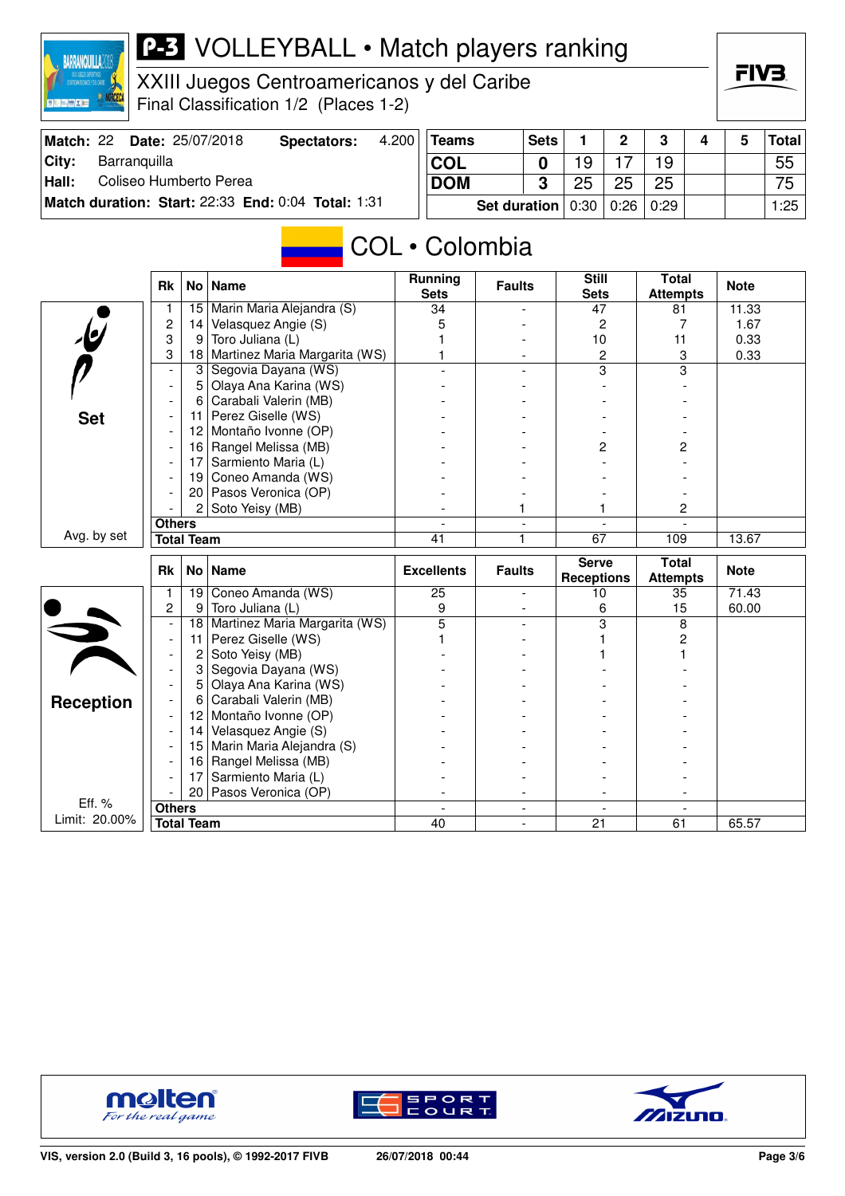

XXIII Juegos Centroamericanos y del Caribe Final Classification 1/2 (Places 1-2)

|  | FIV | = |  |
|--|-----|---|--|
|  |     |   |  |

| Match: 22 | <b>Date: 25/07/2018</b>                            | Spectators: | 4.200 | Teams                             | <b>Sets</b> |    | $\mathbf{p}$ | າ  |  | <b>Total</b> |
|-----------|----------------------------------------------------|-------------|-------|-----------------------------------|-------------|----|--------------|----|--|--------------|
| City:     | Barranquilla                                       |             |       | ⊺COL                              |             | ۱9 |              | 19 |  | 55           |
| Hall:     | Coliseo Humberto Perea                             |             |       | <b>DOM</b>                        | າ           | 25 | 25           | 25 |  | 75           |
|           | Match duration: Start: 22:33 End: 0:04 Total: 1:31 |             |       | Set duration   0:30   0:26   0:29 |             |    |              |    |  | 1:25         |

# COL • Colombia

|                         | <b>Rk</b>                          |                   | No   Name                     | <b>Running</b><br><b>Sets</b> | <b>Faults</b>            | <b>Still</b><br><b>Sets</b>       | <b>Total</b><br><b>Attempts</b> | <b>Note</b> |
|-------------------------|------------------------------------|-------------------|-------------------------------|-------------------------------|--------------------------|-----------------------------------|---------------------------------|-------------|
|                         | 1                                  | 15                | Marin Maria Alejandra (S)     | 34                            |                          | 47                                | 81                              | 11.33       |
|                         | $\overline{c}$                     | 14                | Velasquez Angie (S)           | 5                             |                          | $\overline{c}$                    | $\overline{7}$                  | 1.67        |
|                         | 3                                  | 9                 | Toro Juliana (L)              |                               |                          | 10                                | 11                              | 0.33        |
|                         | 3                                  | 18                | Martinez Maria Margarita (WS) |                               |                          | $\overline{c}$                    | 3                               | 0.33        |
|                         | $\overline{\phantom{a}}$           | $\mathbf{3}$      | Segovia Dayana (WS)           |                               |                          | 3                                 | 3                               |             |
|                         | $\blacksquare$                     | 5                 | Olaya Ana Karina (WS)         |                               |                          |                                   |                                 |             |
|                         | $\overline{\phantom{a}}$           | 6                 | Carabali Valerin (MB)         |                               |                          |                                   |                                 |             |
| <b>Set</b>              | $\overline{\phantom{a}}$           | 11                | Perez Giselle (WS)            |                               |                          |                                   |                                 |             |
|                         | $\overline{\phantom{a}}$           | $12 \overline{ }$ | Montaño Ivonne (OP)           |                               |                          |                                   |                                 |             |
|                         | $\overline{\phantom{a}}$           |                   | 16 Rangel Melissa (MB)        |                               |                          | 2                                 | 2                               |             |
|                         | $\overline{\phantom{a}}$           | 17                | Sarmiento Maria (L)           |                               |                          |                                   |                                 |             |
|                         | $\overline{\phantom{a}}$           | 19 <sup>1</sup>   | Coneo Amanda (WS)             |                               |                          |                                   |                                 |             |
|                         |                                    | 20 <sub>1</sub>   | Pasos Veronica (OP)           |                               |                          |                                   |                                 |             |
|                         |                                    | $\overline{2}$    | Soto Yeisy (MB)               |                               | 1                        |                                   | 2                               |             |
|                         | <b>Others</b>                      |                   |                               |                               | $\overline{\phantom{0}}$ | $\blacksquare$                    |                                 |             |
| Avg. by set             | <b>Total Team</b>                  |                   |                               | $\overline{41}$               | 1                        | $\overline{67}$                   | 109                             | 13.67       |
|                         |                                    |                   |                               |                               |                          |                                   |                                 |             |
|                         | <b>Rk</b>                          | No <sub>1</sub>   | <b>Name</b>                   | <b>Excellents</b>             | <b>Faults</b>            | <b>Serve</b><br><b>Receptions</b> | <b>Total</b><br><b>Attempts</b> | <b>Note</b> |
|                         | 1                                  | 19                | Coneo Amanda (WS)             | 25                            |                          | 10                                | 35                              | 71.43       |
|                         | $\overline{c}$                     | 9                 | Toro Juliana (L)              | 9                             |                          | 6                                 | 15                              | 60.00       |
|                         |                                    | 18                | Martinez Maria Margarita (WS) | 5                             |                          | 3                                 | 8                               |             |
|                         |                                    | 11                | Perez Giselle (WS)            |                               |                          |                                   | 2                               |             |
|                         |                                    | 2                 | Soto Yeisy (MB)               |                               |                          |                                   |                                 |             |
|                         | $\blacksquare$                     | 3                 | Segovia Dayana (WS)           |                               |                          |                                   |                                 |             |
|                         |                                    | 5                 | Olaya Ana Karina (WS)         |                               |                          |                                   |                                 |             |
|                         |                                    | 6                 | Carabali Valerin (MB)         |                               |                          |                                   |                                 |             |
| <b>Reception</b>        |                                    | 12 <sup>2</sup>   | Montaño Ivonne (OP)           |                               |                          |                                   |                                 |             |
|                         |                                    | 14                | Velasquez Angie (S)           |                               |                          |                                   |                                 |             |
|                         |                                    | 15                | Marin Maria Alejandra (S)     |                               |                          |                                   |                                 |             |
|                         |                                    | 16                | Rangel Melissa (MB)           |                               |                          |                                   |                                 |             |
|                         |                                    | 17                | Sarmiento Maria (L)           |                               |                          |                                   |                                 |             |
|                         |                                    | 20                | Pasos Veronica (OP)           |                               |                          |                                   |                                 |             |
| Eff. %<br>Limit: 20.00% | <b>Others</b><br><b>Total Team</b> |                   |                               | 40                            |                          | 21                                | 61                              | 65.57       |





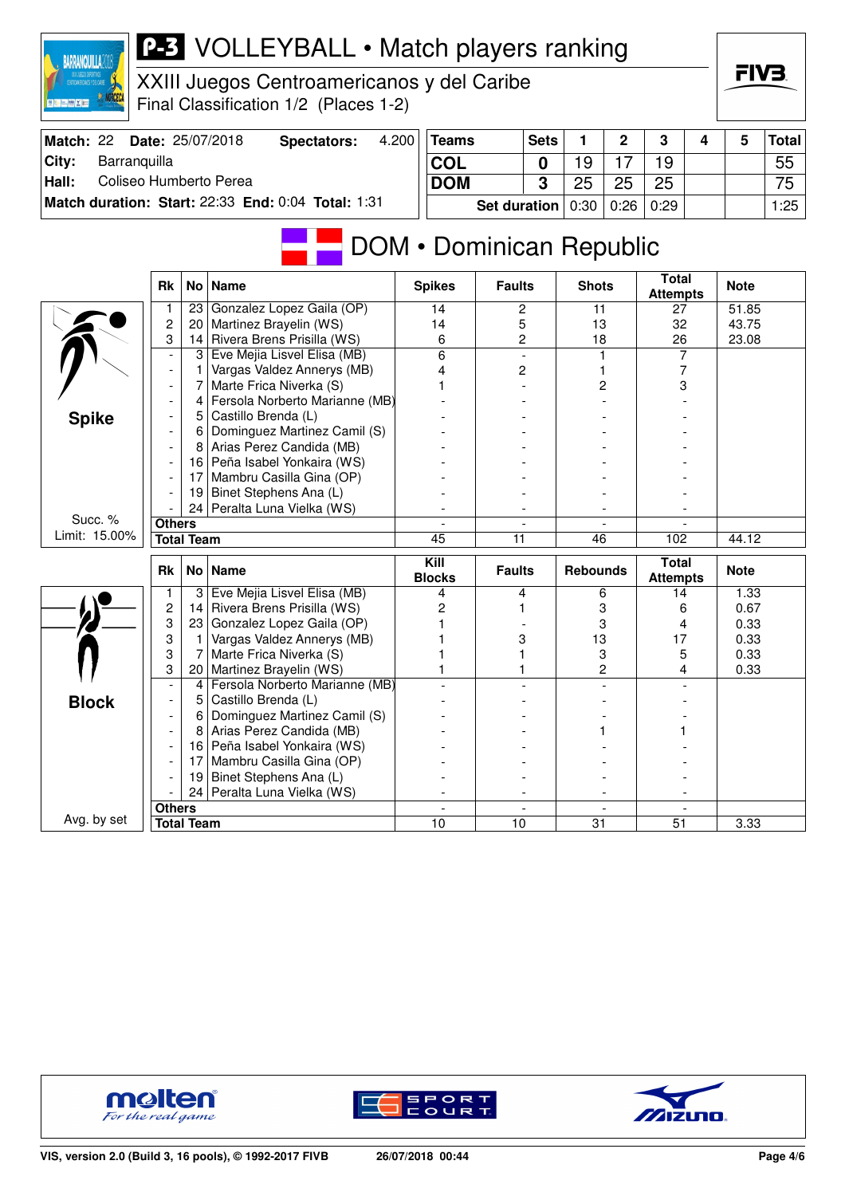|                                 |                                    |                 | XXIII Juegos Centroamericanos y del Caribe<br>Final Classification 1/2 (Places 1-2) |       |                       |                          |             |                 |      |                                 |   | FIV3.        |              |
|---------------------------------|------------------------------------|-----------------|-------------------------------------------------------------------------------------|-------|-----------------------|--------------------------|-------------|-----------------|------|---------------------------------|---|--------------|--------------|
| Match: 22                       |                                    |                 | Date: 25/07/2018<br><b>Spectators:</b>                                              | 4.200 | <b>Teams</b>          |                          | <b>Sets</b> | 1               | 2    | 3                               | 4 | 5            | <b>Total</b> |
| City:<br>Barranquilla           |                                    |                 |                                                                                     |       | <b>COL</b>            |                          | 0           | 19              | 17   | 19                              |   |              | 55           |
| Hall:<br>Coliseo Humberto Perea |                                    |                 |                                                                                     |       | <b>DOM</b>            |                          | 3           | 25              | 25   | 25                              |   |              | 75           |
|                                 |                                    |                 | Match duration: Start: 22:33 End: 0:04 Total: 1:31                                  |       |                       | <b>Set duration</b>      |             | 0:30            | 0:26 | 0:29                            |   |              | 1:25         |
|                                 |                                    |                 |                                                                                     |       |                       | DOM • Dominican Republic |             |                 |      |                                 |   |              |              |
|                                 | <b>Rk</b>                          |                 | No   Name                                                                           |       | <b>Spikes</b>         | <b>Faults</b>            |             | <b>Shots</b>    |      | <b>Total</b><br><b>Attempts</b> |   | <b>Note</b>  |              |
|                                 | 1                                  | 23              | Gonzalez Lopez Gaila (OP)                                                           |       | 14                    | 2                        |             | 11              |      | 27                              |   | 51.85        |              |
|                                 | $\overline{c}$<br>3                | 20 <sup>1</sup> | Martinez Brayelin (WS)<br>Rivera Brens Prisilla (WS)                                |       | 14                    | 5                        |             | 13              |      | 32                              |   | 43.75        |              |
|                                 | $\overline{\phantom{a}}$           | 14<br>3         | Eve Mejia Lisvel Elisa (MB)                                                         |       | 6<br>6                | 2                        |             | 18              |      | 26<br>7                         |   | 23.08        |              |
|                                 | $\overline{\phantom{a}}$           | 1               | Vargas Valdez Annerys (MB)                                                          |       | 4                     | 2                        |             |                 |      | 7                               |   |              |              |
|                                 |                                    | 7               | Marte Frica Niverka (S)                                                             |       |                       |                          |             | 2               |      | 3                               |   |              |              |
|                                 |                                    | 4               | Fersola Norberto Marianne (MB)                                                      |       |                       |                          |             |                 |      |                                 |   |              |              |
| <b>Spike</b>                    |                                    | 5               | Castillo Brenda (L)                                                                 |       |                       |                          |             |                 |      |                                 |   |              |              |
|                                 |                                    | 6               | Dominguez Martinez Camil (S)                                                        |       |                       |                          |             |                 |      |                                 |   |              |              |
|                                 |                                    |                 | 8 Arias Perez Candida (MB)                                                          |       |                       |                          |             |                 |      |                                 |   |              |              |
|                                 |                                    |                 | 16 Peña Isabel Yonkaira (WS)                                                        |       |                       |                          |             |                 |      |                                 |   |              |              |
|                                 |                                    | 17              | Mambru Casilla Gina (OP)                                                            |       |                       |                          |             |                 |      |                                 |   |              |              |
|                                 |                                    | 19              | Binet Stephens Ana (L)                                                              |       |                       |                          |             |                 |      |                                 |   |              |              |
| Succ. %                         |                                    | 24              | Peralta Luna Vielka (WS)                                                            |       |                       |                          |             |                 |      |                                 |   |              |              |
| Limit: 15.00%                   | <b>Others</b><br><b>Total Team</b> |                 |                                                                                     |       | 45                    | $\overline{11}$          |             |                 |      | 102                             |   | 44.12        |              |
|                                 |                                    |                 |                                                                                     |       |                       |                          |             | 46              |      |                                 |   |              |              |
|                                 | Rk                                 |                 | No   Name                                                                           |       | Kill<br><b>Blocks</b> | <b>Faults</b>            |             | <b>Rebounds</b> |      | <b>Total</b><br><b>Attempts</b> |   | <b>Note</b>  |              |
|                                 | 1                                  |                 | 3 Eve Mejia Lisvel Elisa (MB)                                                       |       | 4                     | 4                        |             | 6               |      | 14                              |   | 1.33         |              |
|                                 | $\overline{c}$                     |                 | 14 Rivera Brens Prisilla (WS)                                                       |       | 2                     |                          |             |                 | 3    | 6                               |   | 0.67         |              |
|                                 | 3                                  |                 | 23 Gonzalez Lopez Gaila (OP)                                                        |       |                       |                          |             |                 | 3    | 4                               |   | 0.33         |              |
|                                 | 3<br>3                             | 1<br>7          | Vargas Valdez Annerys (MB)<br>Marte Frica Niverka (S)                               |       |                       | 3                        |             | 13              | 3    | 17<br>5                         |   | 0.33         |              |
|                                 | 3                                  |                 | 20   Martinez Brayelin (WS)                                                         |       |                       |                          |             |                 | 2    | 4                               |   | 0.33<br>0.33 |              |
|                                 |                                    | 4               | Fersola Norberto Marianne (MB)                                                      |       |                       |                          |             |                 |      |                                 |   |              |              |
| Block                           |                                    | 5               | Castillo Brenda (L)                                                                 |       |                       |                          |             |                 |      |                                 |   |              |              |
|                                 |                                    | 6               | Dominguez Martinez Camil (S)                                                        |       |                       |                          |             |                 |      |                                 |   |              |              |
|                                 |                                    | 8               | Arias Perez Candida (MB)                                                            |       |                       |                          |             |                 |      |                                 |   |              |              |
|                                 |                                    |                 | 16 Peña Isabel Yonkaira (WS)                                                        |       |                       |                          |             |                 |      |                                 |   |              |              |
|                                 |                                    | 17 <sup>1</sup> | Mambru Casilla Gina (OP)                                                            |       |                       |                          |             |                 |      |                                 |   |              |              |
|                                 |                                    | 19 I            | Binet Stephens Ana (L)                                                              |       |                       |                          |             |                 |      |                                 |   |              |              |
|                                 |                                    | 24              | Peralta Luna Vielka (WS)                                                            |       |                       |                          |             |                 |      |                                 |   |              |              |
| Avg. by set                     | <b>Others</b>                      |                 |                                                                                     |       |                       |                          |             |                 |      |                                 |   |              |              |
|                                 | <b>Total Team</b>                  |                 |                                                                                     |       | 10                    | 10                       |             | 31              |      | 51                              |   | 3.33         |              |



**BARRANQUILLA2018** 



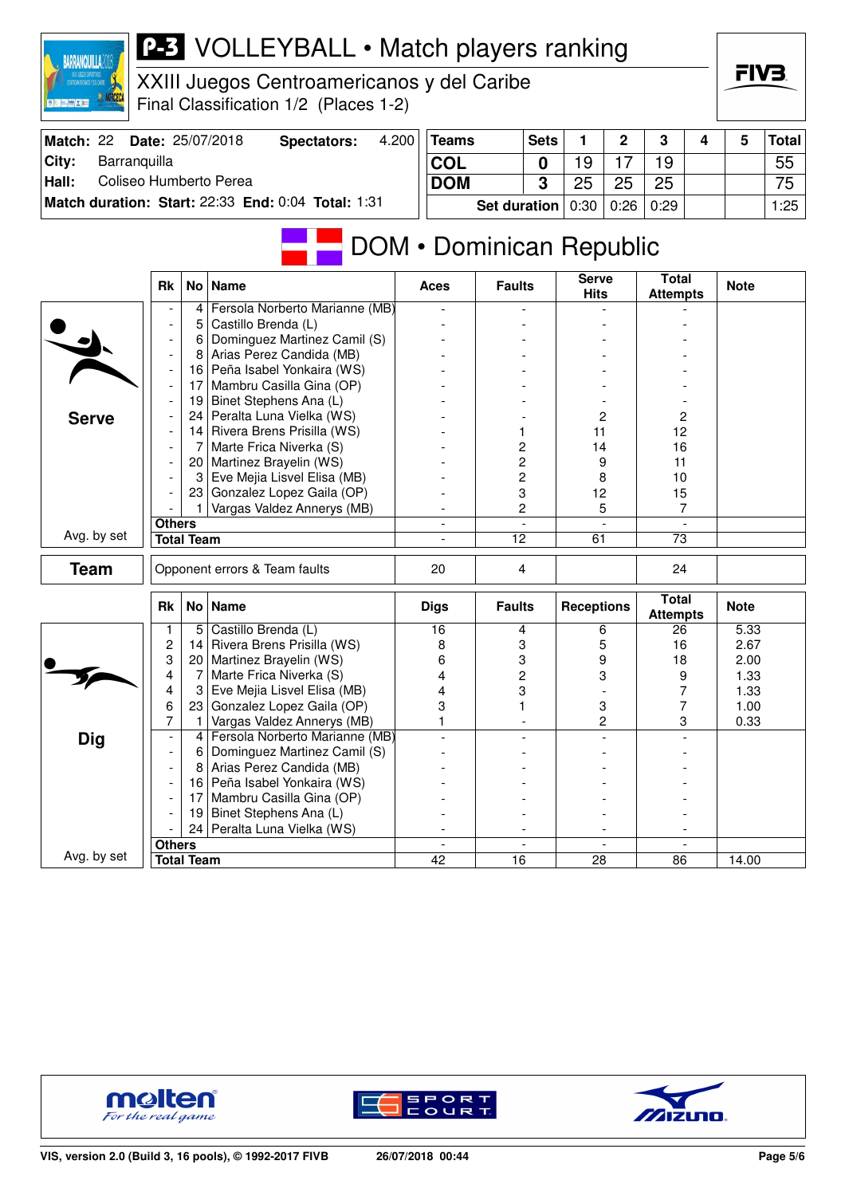| XXIII JUEGOS DEPORTIVOS<br>CENTROAMERICANOS Y DEL CARBE<br><b>DELETRICE</b> |                          |                   | XXIII Juegos Centroamericanos y del Caribe<br>Final Classification 1/2 (Places 1-2) |       |                          |                     |                |                             |                |                                 |   | FIV3.       |              |
|-----------------------------------------------------------------------------|--------------------------|-------------------|-------------------------------------------------------------------------------------|-------|--------------------------|---------------------|----------------|-----------------------------|----------------|---------------------------------|---|-------------|--------------|
| Match: 22                                                                   |                          |                   | Date: 25/07/2018<br><b>Spectators:</b>                                              | 4.200 | <b>Teams</b>             |                     | <b>Sets</b>    | 1                           | $\mathbf{2}$   | 3                               | 4 | 5           | <b>Total</b> |
| Barranquilla<br>City:                                                       |                          |                   |                                                                                     |       | <b>COL</b>               |                     | 0              | 19                          | 17             | 19                              |   |             | 55           |
| Coliseo Humberto Perea<br>Hall:                                             |                          |                   |                                                                                     |       | <b>DOM</b>               |                     | 3              | 25                          | 25             | 25                              |   |             | 75           |
|                                                                             |                          |                   |                                                                                     |       |                          |                     |                |                             |                |                                 |   |             |              |
|                                                                             |                          |                   | Match duration: Start: 22:33 End: 0:04 Total: 1:31                                  |       |                          | <b>Set duration</b> |                | 0:30                        | 0:26           | 0:29                            |   |             | 1:25         |
|                                                                             |                          |                   |                                                                                     |       | DOM • Dominican Republic |                     |                |                             |                |                                 |   |             |              |
|                                                                             | Rk                       |                   | No   Name                                                                           |       | <b>Aces</b>              | <b>Faults</b>       |                | <b>Serve</b><br><b>Hits</b> |                | <b>Total</b><br><b>Attempts</b> |   | <b>Note</b> |              |
|                                                                             |                          | 4                 | Fersola Norberto Marianne (MB)                                                      |       |                          |                     |                |                             |                |                                 |   |             |              |
|                                                                             |                          | 5                 | Castillo Brenda (L)                                                                 |       |                          |                     |                |                             |                |                                 |   |             |              |
|                                                                             |                          | 6                 | Dominguez Martinez Camil (S)                                                        |       |                          |                     |                |                             |                |                                 |   |             |              |
|                                                                             |                          |                   | 8 Arias Perez Candida (MB)                                                          |       |                          |                     |                |                             |                |                                 |   |             |              |
|                                                                             | $\overline{\phantom{a}}$ | 17                | 16 Peña Isabel Yonkaira (WS)<br>Mambru Casilla Gina (OP)                            |       |                          |                     |                |                             |                |                                 |   |             |              |
|                                                                             |                          | 19                | Binet Stephens Ana (L)                                                              |       |                          |                     |                |                             |                |                                 |   |             |              |
|                                                                             | $\overline{\phantom{a}}$ |                   | 24 Peralta Luna Vielka (WS)                                                         |       |                          |                     |                |                             | 2              | 2                               |   |             |              |
| <b>Serve</b>                                                                |                          |                   | 14 Rivera Brens Prisilla (WS)                                                       |       |                          | 1                   |                | 11                          |                | 12                              |   |             |              |
|                                                                             |                          | 7                 | Marte Frica Niverka (S)                                                             |       |                          |                     | 2              | 14                          |                | 16                              |   |             |              |
|                                                                             | $\overline{\phantom{a}}$ | 20 I              | Martinez Brayelin (WS)                                                              |       |                          |                     | 2              |                             | 9              | 11                              |   |             |              |
|                                                                             | $\overline{\phantom{a}}$ | 3                 | Eve Mejia Lisvel Elisa (MB)                                                         |       |                          |                     | 2              |                             | 8              | 10                              |   |             |              |
|                                                                             |                          |                   | 23 Gonzalez Lopez Gaila (OP)                                                        |       |                          |                     | 3              | 12                          |                | 15                              |   |             |              |
|                                                                             |                          |                   | Vargas Valdez Annerys (MB)                                                          |       |                          |                     | 2              |                             | 5              | 7                               |   |             |              |
|                                                                             | <b>Others</b>            |                   |                                                                                     |       |                          |                     | $\blacksquare$ |                             | $\overline{a}$ |                                 |   |             |              |
| Avg. by set                                                                 |                          | <b>Total Team</b> |                                                                                     |       |                          | 12                  |                | 61                          |                | 73                              |   |             |              |
| <b>Team</b>                                                                 |                          |                   | Opponent errors & Team faults                                                       |       | 20                       |                     | 4              |                             |                | 24                              |   |             |              |
|                                                                             | Rk                       |                   | No   Name                                                                           |       | <b>Digs</b>              | <b>Faults</b>       |                | <b>Receptions</b>           |                | <b>Total</b><br><b>Attempts</b> |   | <b>Note</b> |              |
|                                                                             | 1                        |                   | 5 Castillo Brenda (L)                                                               |       | 16                       |                     | 4              |                             | 6              | 26                              |   | 5.33        |              |
|                                                                             | 2                        | 4                 | Rivera Brens Prisilla (WS)                                                          |       | 8                        |                     | 3              |                             | 5              | 16                              |   | 2.67        |              |
|                                                                             | 3                        |                   | 20 Martinez Brayelin (WS)                                                           |       | 6                        | 3                   |                |                             | 9              | 18                              |   | 2.00        |              |
|                                                                             | 4                        | 7                 | Marte Frica Niverka (S)                                                             |       | 4                        |                     | 2              |                             | 3              | 9                               |   | 1.33        |              |
|                                                                             | 4                        | 3                 | Eve Mejia Lisvel Elisa (MB)                                                         |       | 4                        |                     | 3              |                             |                | 7                               |   | 1.33        |              |
|                                                                             | 6                        | 23                | Gonzalez Lopez Gaila (OP)                                                           |       | 3                        |                     |                |                             | 3              | 7                               |   | 1.00        |              |
|                                                                             | 7                        | 1<br>4            | Vargas Valdez Annerys (MB)<br>Fersola Norberto Marianne (MB)                        |       | 1                        |                     |                |                             | 2              | 3                               |   | 0.33        |              |
| <b>Dig</b>                                                                  | $\overline{\phantom{a}}$ |                   | Dominguez Martinez Camil (S)                                                        |       |                          |                     |                |                             |                |                                 |   |             |              |
|                                                                             | $\overline{\phantom{a}}$ | 6<br>8            | Arias Perez Candida (MB)                                                            |       |                          |                     |                |                             |                |                                 |   |             |              |
|                                                                             | $\overline{\phantom{a}}$ |                   | 16 Peña Isabel Yonkaira (WS)                                                        |       |                          |                     |                |                             |                |                                 |   |             |              |
|                                                                             | $\overline{\phantom{a}}$ | 17 <sup>1</sup>   | Mambru Casilla Gina (OP)                                                            |       |                          |                     |                |                             |                |                                 |   |             |              |
|                                                                             | $\overline{\phantom{a}}$ | 19                | Binet Stephens Ana (L)                                                              |       |                          |                     |                |                             |                |                                 |   |             |              |
|                                                                             |                          | 24                | Peralta Luna Vielka (WS)                                                            |       |                          |                     |                |                             |                |                                 |   |             |              |
|                                                                             | <b>Others</b>            |                   |                                                                                     |       |                          |                     |                |                             |                |                                 |   |             |              |
| Avg. by set                                                                 |                          | <b>Total Team</b> |                                                                                     |       | 42                       | $\overline{16}$     |                | 28                          |                | 86                              |   | 14.00       |              |
|                                                                             |                          |                   |                                                                                     |       |                          |                     |                |                             |                |                                 |   |             |              |



**BARRANQUILLA2018** 





FIV3